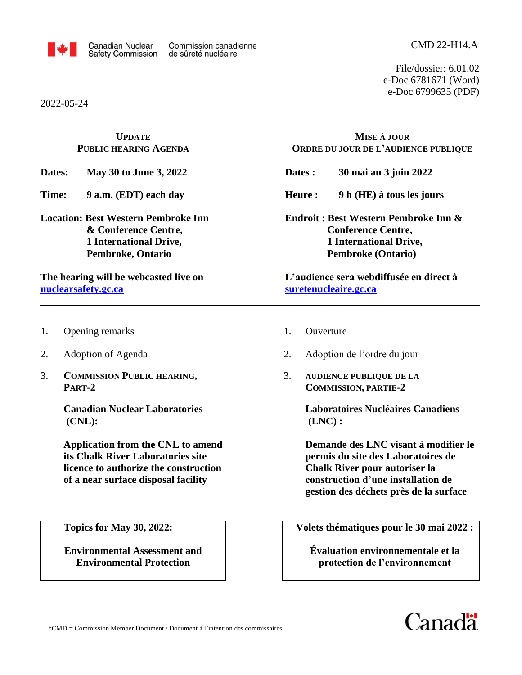

2022-05-24

File/dossier: 6.01.02 e-Doc 6781671 (Word) e-Doc 6799635 (PDF)

|                                                                                                                                                                                   | <b>UPDATE</b><br><b>PUBLIC HEARING AGENDA</b>     | MISE À JOUR<br>ORDRE DU JOUR DE L'AUDIENCE PUBLIQUE                                                                                                                                          |  |  |
|-----------------------------------------------------------------------------------------------------------------------------------------------------------------------------------|---------------------------------------------------|----------------------------------------------------------------------------------------------------------------------------------------------------------------------------------------------|--|--|
|                                                                                                                                                                                   | May 30 to June 3, 2022<br>Dates:                  | Dates :<br>30 mai au 3 juin 2022                                                                                                                                                             |  |  |
| Time:                                                                                                                                                                             | 9 a.m. (EDT) each day                             | Heure:<br>9 h (HE) à tous les jours                                                                                                                                                          |  |  |
| <b>Location: Best Western Pembroke Inn</b><br>& Conference Centre,<br>1 International Drive,<br>Pembroke, Ontario<br>The hearing will be webcasted live on<br>nuclearsafety.gc.ca |                                                   | Endroit: Best Western Pembroke Inn &<br><b>Conference Centre,</b><br>1 International Drive,<br><b>Pembroke (Ontario)</b><br>L'audience sera webdiffusée en direct à<br>suretenucleaire.gc.ca |  |  |
|                                                                                                                                                                                   |                                                   |                                                                                                                                                                                              |  |  |
| 2.                                                                                                                                                                                | Adoption of Agenda                                | 2.<br>Adoption de l'ordre du jour                                                                                                                                                            |  |  |
| 3.                                                                                                                                                                                | <b>COMMISSION PUBLIC HEARING,</b><br>PART-2       | 3.<br><b>AUDIENCE PUBLIQUE DE LA</b><br><b>COMMISSION, PARTIE-2</b>                                                                                                                          |  |  |
|                                                                                                                                                                                   | <b>Canadian Nuclear Laboratories</b><br>$(CNL)$ : | <b>Laboratoires Nucléaires Canadiens</b><br>(LNC):                                                                                                                                           |  |  |
|                                                                                                                                                                                   |                                                   |                                                                                                                                                                                              |  |  |

**Application from the CNL to amend its Chalk River Laboratories site licence to authorize the construction of a near surface disposal facility**

**Topics for May 30, 2022:**

**Environmental Assessment and Environmental Protection**

**Demande des LNC visant à modifier le permis du site des Laboratoires de Chalk River pour autoriser la construction d'une installation de gestion des déchets près de la surface**

**Volets thématiques pour le 30 mai 2022 :**

**Évaluation environnementale et la protection de l'environnement**

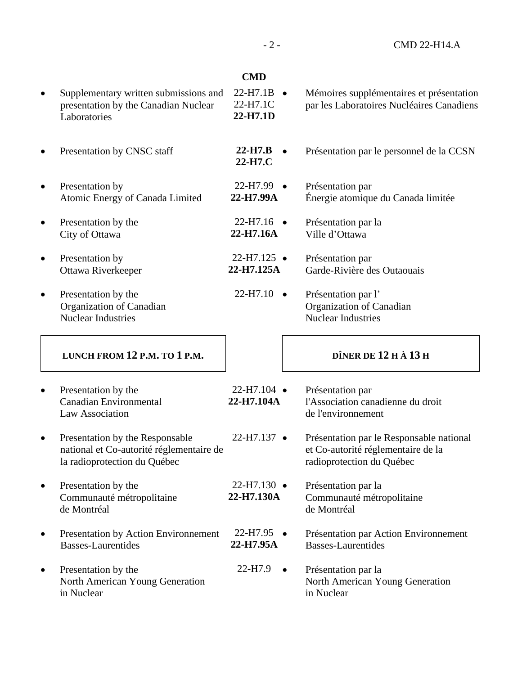|   |                                                                                                             | <b>CMD</b>                          |                                                                                                             |
|---|-------------------------------------------------------------------------------------------------------------|-------------------------------------|-------------------------------------------------------------------------------------------------------------|
|   | Supplementary written submissions and<br>presentation by the Canadian Nuclear<br>Laboratories               | 22-H7.1B<br>22-H7.1C<br>22-H7.1D    | Mémoires supplémentaires et présentation<br>par les Laboratoires Nucléaires Canadiens                       |
|   | Presentation by CNSC staff                                                                                  | $22-H7.B$<br>22-H7.C                | Présentation par le personnel de la CCSN                                                                    |
|   | Presentation by<br>Atomic Energy of Canada Limited                                                          | 22-H7.99<br>22-H7.99A               | Présentation par<br>Énergie atomique du Canada limitée                                                      |
|   | Presentation by the<br>City of Ottawa                                                                       | 22-H7.16<br>22-H7.16A               | Présentation par la<br>Ville d'Ottawa                                                                       |
|   | Presentation by<br>Ottawa Riverkeeper                                                                       | $22-H7.125$ $\bullet$<br>22-H7.125A | Présentation par<br>Garde-Rivière des Outaouais                                                             |
|   | Presentation by the<br>Organization of Canadian<br><b>Nuclear Industries</b>                                | 22-H7.10<br>$\bullet$               | Présentation par l'<br>Organization of Canadian<br><b>Nuclear Industries</b>                                |
|   | LUNCH FROM 12 P.M. TO 1 P.M.                                                                                |                                     | DÎNER DE $12$ H $\AA$ 13 H                                                                                  |
|   | Presentation by the<br><b>Canadian Environmental</b><br>Law Association                                     | $22-H7.104$ $\bullet$<br>22-H7.104A | Présentation par<br>l'Association canadienne du droit<br>de l'environnement                                 |
| ٠ | Presentation by the Responsable<br>national et Co-autorité réglementaire de<br>la radioprotection du Québec | 22-H7.137 •                         | Présentation par le Responsable national<br>et Co-autorité réglementaire de la<br>radioprotection du Québec |
|   | Presentation by the<br>Communauté métropolitaine<br>de Montréal                                             | $22-H7.130$ $\bullet$<br>22-H7.130A | Présentation par la<br>Communauté métropolitaine<br>de Montréal                                             |
| ٠ | <b>Presentation by Action Environmement</b><br><b>Basses-Laurentides</b>                                    | 22-H7.95<br>$\bullet$<br>22-H7.95A  | Présentation par Action Environnement<br><b>Basses-Laurentides</b>                                          |
|   |                                                                                                             |                                     |                                                                                                             |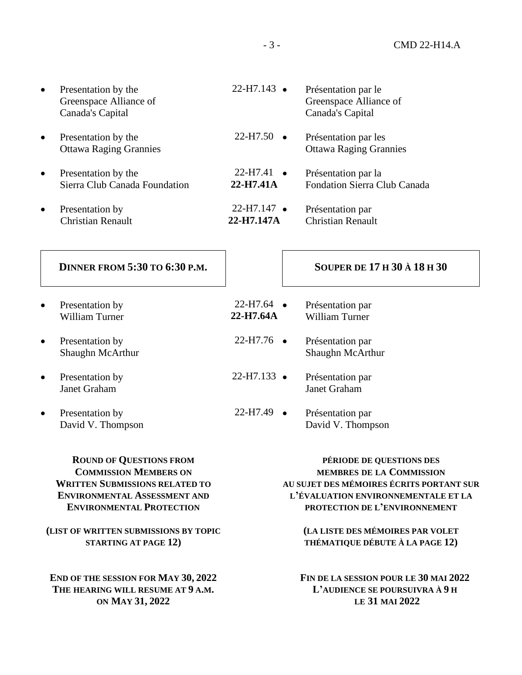• Presentation by the Greenspace Alliance of Canada's Capital 22-H7.143 • Présentation par le Greenspace Alliance of Canada's Capital Présentation par les Ottawa Raging Grannies Présentation par la Fondation Sierra Club Canada Présentation par Christian Renault • Presentation by the Ottawa Raging Grannies  $22-H7.50$  • Presentation by the Sierra Club Canada Foundation 22-H7.41 • **22-H7.41A** Presentation by Christian Renault 22-H7.147 • **22-H7.147A**

# **DINNER FROM 5:30 TO 6:30 P.M.**  $\vert$  SOUPER DE 17 H 30 À 18 H 30

- Presentation by William Turner
- Presentation by Shaughn McArthur
- Presentation by Janet Graham
- Presentation by David V. Thompson

**ROUND OF QUESTIONS FROM COMMISSION MEMBERS ON WRITTEN SUBMISSIONS RELATED TO ENVIRONMENTAL ASSESSMENT AND ENVIRONMENTAL PROTECTION**

#### **(LIST OF WRITTEN SUBMISSIONS BY TOPIC STARTING AT PAGE 12)**

**END OF THE SESSION FOR MAY 30, 2022 THE HEARING WILL RESUME AT 9 A.M. ON MAY 31, 2022**

- $22-H7.64$   $\bullet$ **22-H7.64A** • Présentation par William Turner
- Présentation par Shaughn McArthur 22-H7.76 •
- Présentation par Janet Graham 22-H7.133 •

#### Présentation par David V. Thompson 22-H7.49 •

**PÉRIODE DE QUESTIONS DES MEMBRES DE LA COMMISSION AU SUJET DES MÉMOIRES ÉCRITS PORTANT SUR L'ÉVALUATION ENVIRONNEMENTALE ET LA PROTECTION DE L'ENVIRONNEMENT**

> **(LA LISTE DES MÉMOIRES PAR VOLET THÉMATIQUE DÉBUTE À LA PAGE 12)**

**FIN DE LA SESSION POUR LE 30 MAI 2022 L'AUDIENCE SE POURSUIVRA À 9 H LE 31 MAI 2022**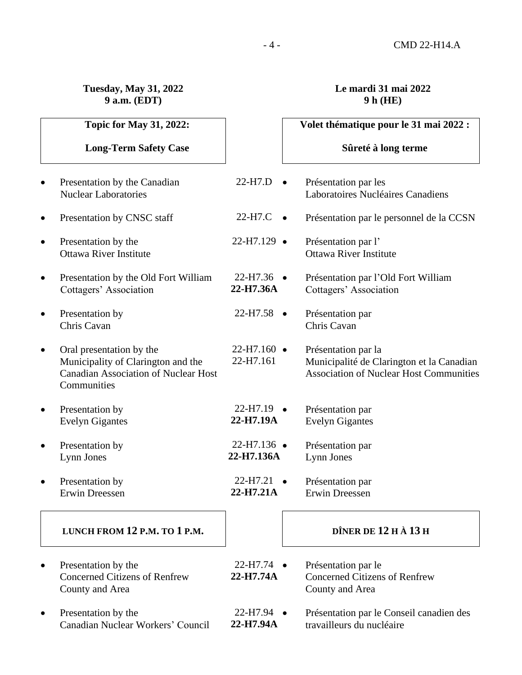# **Tuesday, May 31, 2022 9 a.m. (EDT)**

# **Le mardi 31 mai 2022 9 h (HE)**

|           | <b>Topic for May 31, 2022:</b>                                                                                               |                                     | Volet thématique pour le 31 mai 2022 :                                                                             |
|-----------|------------------------------------------------------------------------------------------------------------------------------|-------------------------------------|--------------------------------------------------------------------------------------------------------------------|
|           | <b>Long-Term Safety Case</b>                                                                                                 |                                     | Sûreté à long terme                                                                                                |
| $\bullet$ | Presentation by the Canadian<br><b>Nuclear Laboratories</b>                                                                  | 22-H7.D                             | Présentation par les<br>Laboratoires Nucléaires Canadiens                                                          |
| $\bullet$ | Presentation by CNSC staff                                                                                                   | 22-H7.C                             | Présentation par le personnel de la CCSN                                                                           |
| $\bullet$ | Presentation by the<br><b>Ottawa River Institute</b>                                                                         | $22-H7.129$ $\bullet$               | Présentation par l'<br><b>Ottawa River Institute</b>                                                               |
| $\bullet$ | Presentation by the Old Fort William<br>Cottagers' Association                                                               | $22-H7.36$ $\bullet$<br>22-H7.36A   | Présentation par l'Old Fort William<br>Cottagers' Association                                                      |
| $\bullet$ | Presentation by<br>Chris Cavan                                                                                               | $22-H7.58$ •                        | Présentation par<br>Chris Cavan                                                                                    |
| $\bullet$ | Oral presentation by the<br>Municipality of Clarington and the<br><b>Canadian Association of Nuclear Host</b><br>Communities | $22-H7.160$ $\bullet$<br>22-H7.161  | Présentation par la<br>Municipalité de Clarington et la Canadian<br><b>Association of Nuclear Host Communities</b> |
| $\bullet$ | Presentation by<br><b>Evelyn Gigantes</b>                                                                                    | $22-H7.19$ $\bullet$<br>22-H7.19A   | Présentation par<br><b>Evelyn Gigantes</b>                                                                         |
| $\bullet$ | Presentation by<br>Lynn Jones                                                                                                | $22-H7.136$ $\bullet$<br>22-H7.136A | Présentation par<br>Lynn Jones                                                                                     |
| $\bullet$ | Presentation by<br><b>Erwin Dreessen</b>                                                                                     | 22-H7.21<br>22-H7.21A               | Présentation par<br>Erwin Dreessen                                                                                 |
|           | LUNCH FROM 12 P.M. TO 1 P.M.                                                                                                 |                                     | DÎNER DE $12$ H $\AA$ 13 H                                                                                         |
| $\bullet$ | Presentation by the<br><b>Concerned Citizens of Renfrew</b><br>County and Area                                               | $22-H7.74$ $\bullet$<br>22-H7.74A   | Présentation par le<br><b>Concerned Citizens of Renfrew</b><br>County and Area                                     |
| $\bullet$ | Presentation by the<br>Canadian Nuclear Workers' Council                                                                     | $22-H7.94$ $\bullet$<br>22-H7.94A   | Présentation par le Conseil canadien des<br>travailleurs du nucléaire                                              |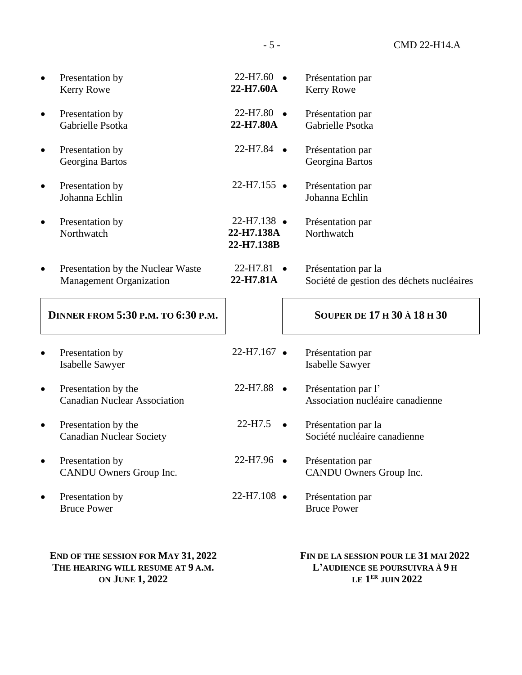| Presentation by<br><b>Kerry Rowe</b>                                | 22-H7.60<br>22-H7.60A                             | Présentation par<br><b>Kerry Rowe</b>                            |
|---------------------------------------------------------------------|---------------------------------------------------|------------------------------------------------------------------|
| Presentation by<br>Gabrielle Psotka                                 | $22-H7.80$ $\bullet$<br>22-H7.80A                 | Présentation par<br>Gabrielle Psotka                             |
| Presentation by<br>Georgina Bartos                                  | $22-H7.84$ •                                      | Présentation par<br>Georgina Bartos                              |
| Presentation by<br>Johanna Echlin                                   | $22-H7.155$ $\bullet$                             | Présentation par<br>Johanna Echlin                               |
| Presentation by<br>Northwatch                                       | $22-H7.138$ $\bullet$<br>22-H7.138A<br>22-H7.138B | Présentation par<br>Northwatch                                   |
| Presentation by the Nuclear Waste<br><b>Management Organization</b> | 22-H7.81<br>22-H7.81A                             | Présentation par la<br>Société de gestion des déchets nucléaires |
| <b>DINNER FROM 5:30 P.M. TO 6:30 P.M.</b>                           |                                                   | <b>SOUPER DE 17 H 30 À 18 H 30</b>                               |
| Presentation by<br>Isabelle Sawyer                                  | $22-H7.167$ $\bullet$                             | Présentation par<br><b>Isabelle Sawyer</b>                       |
| Presentation by the<br><b>Canadian Nuclear Association</b>          | $22-H7.88$ $\bullet$                              | Présentation par l'<br>Association nucléaire canadienne          |
| Presentation by the<br><b>Canadian Nuclear Society</b>              | 22-H7.5                                           | Présentation par la<br>Société nucléaire canadienne              |
| Presentation by<br>CANDU Owners Group Inc.                          | $22-H7.96$ $\bullet$                              | Présentation par<br>CANDU Owners Group Inc.                      |
| Presentation by<br><b>Bruce Power</b>                               | $22-H7.108$ $\bullet$                             | Présentation par<br><b>Bruce Power</b>                           |
|                                                                     |                                                   |                                                                  |

**THE HEARING WILL RESUME AT 9 A.M. ON JUNE 1, 2022**

**L'AUDIENCE SE POURSUIVRA À 9 H LE 1 ER JUIN 2022**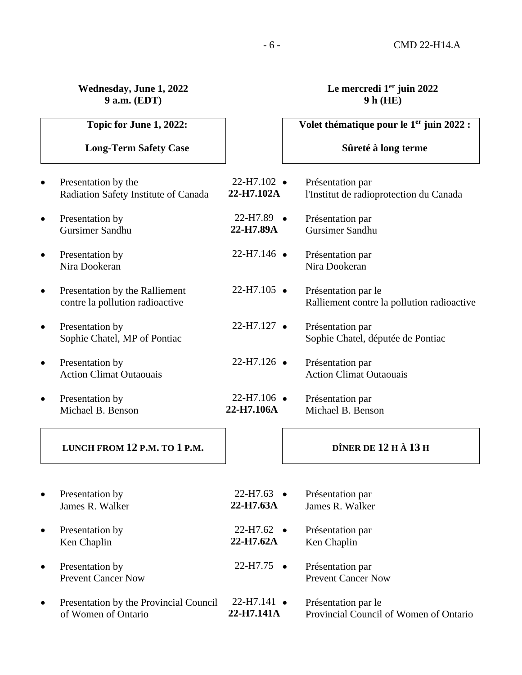# **Wednesday, June 1, 2022 9 a.m. (EDT)**

# **Le mercredi 1er juin 2022 9 h (HE)**

|           | Topic for June 1, 2022:                                           |                                     | Volet thématique pour le 1 <sup>er</sup> juin 2022 :              |
|-----------|-------------------------------------------------------------------|-------------------------------------|-------------------------------------------------------------------|
|           | <b>Long-Term Safety Case</b>                                      |                                     | Sûreté à long terme                                               |
| $\bullet$ | Presentation by the<br>Radiation Safety Institute of Canada       | $22-H7.102$ $\bullet$<br>22-H7.102A | Présentation par<br>l'Institut de radioprotection du Canada       |
| $\bullet$ | Presentation by<br>Gursimer Sandhu                                | $22-H7.89$ $\bullet$<br>22-H7.89A   | Présentation par<br>Gursimer Sandhu                               |
| $\bullet$ | Presentation by<br>Nira Dookeran                                  | $22-H7.146$ $\bullet$               | Présentation par<br>Nira Dookeran                                 |
| $\bullet$ | Presentation by the Ralliement<br>contre la pollution radioactive | $22-H7.105$ $\bullet$               | Présentation par le<br>Ralliement contre la pollution radioactive |
| $\bullet$ | Presentation by<br>Sophie Chatel, MP of Pontiac                   | 22-H7.127 ·                         | Présentation par<br>Sophie Chatel, députée de Pontiac             |
| $\bullet$ | Presentation by<br><b>Action Climat Outaouais</b>                 | $22-H7.126$ $\bullet$               | Présentation par<br><b>Action Climat Outaouais</b>                |
| $\bullet$ | Presentation by<br>Michael B. Benson                              | $22-H7.106$ $\bullet$<br>22-H7.106A | Présentation par<br>Michael B. Benson                             |
|           | LUNCH FROM 12 P.M. TO 1 P.M.                                      |                                     | DÎNER DE 12 H À 13 H                                              |
|           | Presentation by<br>James R. Walker                                | 22-H7.63<br>22-H7.63A               | Présentation par<br>James R. Walker                               |
| $\bullet$ | Presentation by<br>Ken Chaplin                                    | 22-H7.62<br>$\bullet$<br>22-H7.62A  | Présentation par<br>Ken Chaplin                                   |
| $\bullet$ | Presentation by<br><b>Prevent Cancer Now</b>                      | 22-H7.75<br>$\bullet$               | Présentation par<br><b>Prevent Cancer Now</b>                     |
| $\bullet$ | Presentation by the Provincial Council<br>of Women of Ontario     | 22-H7.141 ·<br>22-H7.141A           | Présentation par le<br>Provincial Council of Women of Ontario     |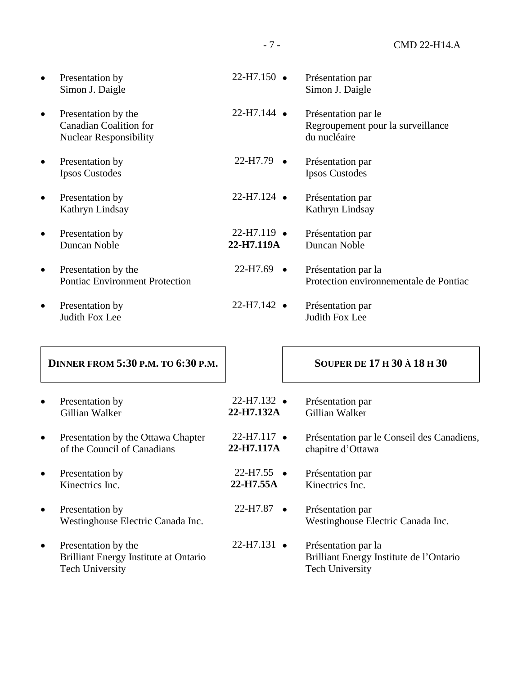| Presentation by<br>Simon J. Daigle                                                    | $22-H7.150$ $\bullet$ | Présentation par<br>Simon J. Daigle                                      |
|---------------------------------------------------------------------------------------|-----------------------|--------------------------------------------------------------------------|
| Presentation by the<br><b>Canadian Coalition for</b><br><b>Nuclear Responsibility</b> | $22-H7.144$ $\bullet$ | Présentation par le<br>Regroupement pour la surveillance<br>du nucléaire |
| Presentation by<br><b>Ipsos Custodes</b>                                              | 22-H7.79              | Présentation par<br><b>Ipsos Custodes</b>                                |
| Presentation by<br>Kathryn Lindsay                                                    | $22-H7.124$ $\bullet$ | Présentation par<br>Kathryn Lindsay                                      |
| Presentation by                                                                       | $22-H7.119$ $\bullet$ | Présentation par                                                         |
| Duncan Noble                                                                          | 22-H7.119A            | <b>Duncan Noble</b>                                                      |
| Presentation by the                                                                   | 22-H7.69              | Présentation par la                                                      |
| <b>Pontiac Environment Protection</b>                                                 | $\bullet$             | Protection environnementale de Pontiac                                   |
| Presentation by<br>Judith Fox Lee                                                     | $22-H7.142$ $\bullet$ | Présentation par<br>Judith Fox Lee                                       |
| DINNER FROM 5:30 P.M. TO 6:30 P.M.                                                    |                       | <b>SOUPER DE 17 H 30 À 18 H 30</b>                                       |
| Presentation by                                                                       | $22-H7.132$ $\bullet$ | Présentation par                                                         |
| Gillian Walker                                                                        | 22-H7.132A            | Gillian Walker                                                           |
| Presentation by the Ottawa Chapter                                                    | $22-H7.117$ $\bullet$ | Présentation par le Conseil des Canadiens,                               |
| of the Council of Canadians                                                           | 22-H7.117A            | chapitre d'Ottawa                                                        |
| Presentation by                                                                       | $22-H7.55$ $\bullet$  | Présentation par                                                         |
| Kinectrics Inc.                                                                       | 22-H7.55A             | Kinectrics Inc.                                                          |
| Presentation by                                                                       | 22-H7.87              | Présentation par                                                         |
| Westinghouse Electric Canada Inc.                                                     | $\bullet$             | Westinghouse Electric Canada Inc.                                        |

22-H7.131 •

Présentation par la

Tech University

Brilliant Energy Institute de l'Ontario

• Presentation by the Brilliant Energy Institute at Ontario Tech University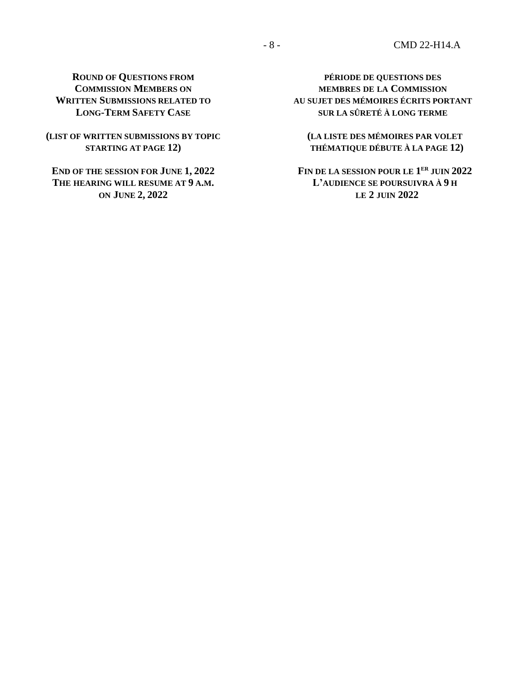# **ROUND OF QUESTIONS FROM COMMISSION MEMBERS ON WRITTEN SUBMISSIONS RELATED TO LONG-TERM SAFETY CASE**

**(LIST OF WRITTEN SUBMISSIONS BY TOPIC STARTING AT PAGE 12)**

**END OF THE SESSION FOR JUNE 1, 2022 THE HEARING WILL RESUME AT 9 A.M. ON JUNE 2, 2022**

**PÉRIODE DE QUESTIONS DES MEMBRES DE LA COMMISSION AU SUJET DES MÉMOIRES ÉCRITS PORTANT SUR LA SÛRETÉ À LONG TERME**

**(LA LISTE DES MÉMOIRES PAR VOLET THÉMATIQUE DÉBUTE À LA PAGE 12)**

**FIN DE LA SESSION POUR LE 1 ER JUIN 2022 L'AUDIENCE SE POURSUIVRA À 9 H LE 2 JUIN 2022**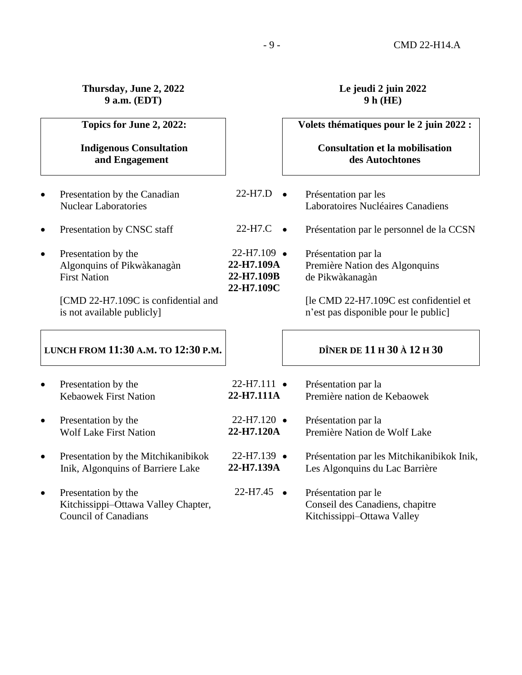# **Thursday, June 2, 2022 9 a.m. (EDT)**

# **Le jeudi 2 juin 2022 9 h (HE)**

|           | Topics for June 2, 2022:                                                                  |                                                                 | Volets thématiques pour le 2 juin 2022 :                                             |
|-----------|-------------------------------------------------------------------------------------------|-----------------------------------------------------------------|--------------------------------------------------------------------------------------|
|           | <b>Indigenous Consultation</b><br>and Engagement                                          |                                                                 | <b>Consultation et la mobilisation</b><br>des Autochtones                            |
| $\bullet$ | Presentation by the Canadian<br><b>Nuclear Laboratories</b>                               | 22-H7.D                                                         | Présentation par les<br>Laboratoires Nucléaires Canadiens                            |
| $\bullet$ | Presentation by CNSC staff                                                                | 22-H7.C                                                         | Présentation par le personnel de la CCSN                                             |
| $\bullet$ | Presentation by the<br>Algonquins of Pikwàkanagàn<br><b>First Nation</b>                  | $22-H7.109$ $\bullet$<br>22-H7.109A<br>22-H7.109B<br>22-H7.109C | Présentation par la<br>Première Nation des Algonquins<br>de Pikwàkanagàn             |
|           | [CMD 22-H7.109C is confidential and<br>is not available publicly]                         |                                                                 | [le CMD 22-H7.109C est confidentiel et<br>n'est pas disponible pour le public]       |
|           | LUNCH FROM 11:30 A.M. TO 12:30 P.M.                                                       |                                                                 | DÎNER DE 11 H 30 À 12 H 30                                                           |
| $\bullet$ | Presentation by the<br><b>Kebaowek First Nation</b>                                       | 22-H7.111 ·<br>22-H7.111A                                       | Présentation par la<br>Première nation de Kebaowek                                   |
| $\bullet$ | Presentation by the<br><b>Wolf Lake First Nation</b>                                      | $22-H7.120$ $\bullet$<br>22-H7.120A                             | Présentation par la<br>Première Nation de Wolf Lake                                  |
| $\bullet$ | Presentation by the Mitchikanibikok<br>Inik, Algonquins of Barriere Lake                  | $22-H7.139$ $\bullet$<br>22-H7.139A                             | Présentation par les Mitchikanibikok Inik,<br>Les Algonquins du Lac Barrière         |
| $\bullet$ | Presentation by the<br>Kitchissippi-Ottawa Valley Chapter,<br><b>Council of Canadians</b> | 22-H7.45                                                        | Présentation par le<br>Conseil des Canadiens, chapitre<br>Kitchissippi-Ottawa Valley |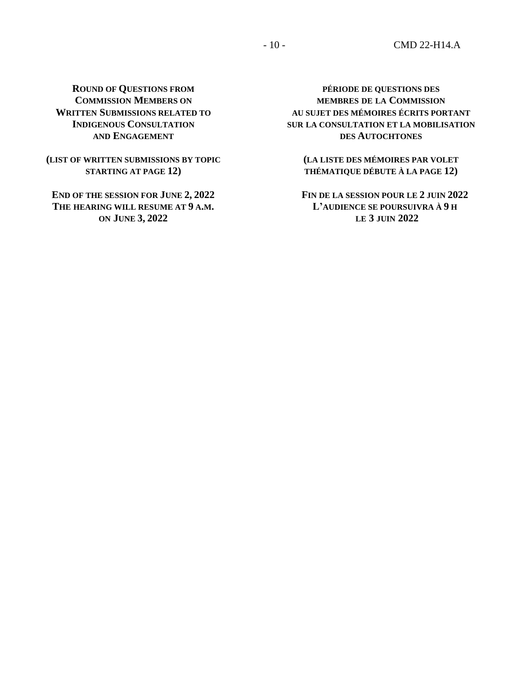**ROUND OF QUESTIONS FROM COMMISSION MEMBERS ON WRITTEN SUBMISSIONS RELATED TO INDIGENOUS CONSULTATION AND ENGAGEMENT**

**(LIST OF WRITTEN SUBMISSIONS BY TOPIC STARTING AT PAGE 12)**

**END OF THE SESSION FOR JUNE 2, 2022 THE HEARING WILL RESUME AT 9 A.M. ON JUNE 3, 2022**

**PÉRIODE DE QUESTIONS DES MEMBRES DE LA COMMISSION AU SUJET DES MÉMOIRES ÉCRITS PORTANT SUR LA CONSULTATION ET LA MOBILISATION DES AUTOCHTONES**

**(LA LISTE DES MÉMOIRES PAR VOLET THÉMATIQUE DÉBUTE À LA PAGE 12)**

**FIN DE LA SESSION POUR LE 2 JUIN 2022 L'AUDIENCE SE POURSUIVRA À 9 H LE 3 JUIN 2022**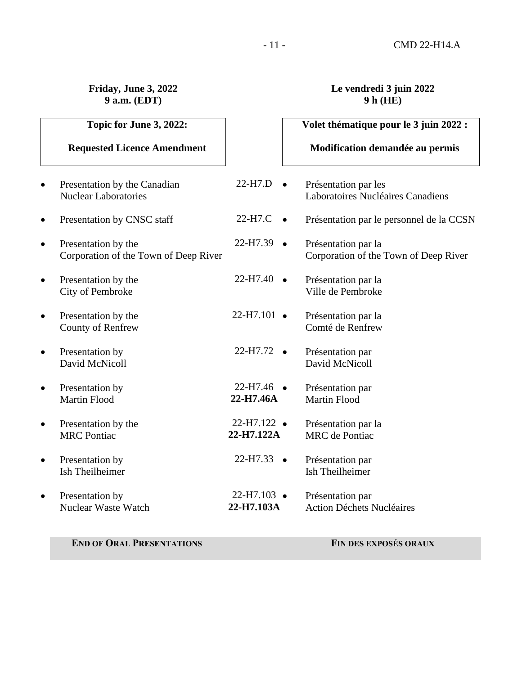# - 11 - CMD 22-H14.A

# **Friday, June 3, 2022 9 a.m. (EDT)**

# **Le vendredi 3 juin 2022 9 h (HE)**

|           | Topic for June 3, 2022:                                      |                                     | Volet thématique pour le 3 juin 2022 :                       |
|-----------|--------------------------------------------------------------|-------------------------------------|--------------------------------------------------------------|
|           | <b>Requested Licence Amendment</b>                           |                                     | Modification demandée au permis                              |
| $\bullet$ | Presentation by the Canadian<br><b>Nuclear Laboratories</b>  | 22-H7.D                             | Présentation par les<br>Laboratoires Nucléaires Canadiens    |
| $\bullet$ | Presentation by CNSC staff                                   | 22-H7.C<br>$\bullet$                | Présentation par le personnel de la CCSN                     |
| $\bullet$ | Presentation by the<br>Corporation of the Town of Deep River | 22-H7.39<br>$\bullet$               | Présentation par la<br>Corporation of the Town of Deep River |
| $\bullet$ | Presentation by the<br>City of Pembroke                      | 22-H7.40<br>$\bullet$               | Présentation par la<br>Ville de Pembroke                     |
| $\bullet$ | Presentation by the<br><b>County of Renfrew</b>              | $22-H7.101$ $\bullet$               | Présentation par la<br>Comté de Renfrew                      |
| $\bullet$ | Presentation by<br>David McNicoll                            | 22-H7.72                            | Présentation par<br>David McNicoll                           |
| $\bullet$ | Presentation by<br><b>Martin Flood</b>                       | 22-H7.46<br>22-H7.46A               | Présentation par<br><b>Martin Flood</b>                      |
| $\bullet$ | Presentation by the<br><b>MRC</b> Pontiac                    | 22-H7.122 ·<br>22-H7.122A           | Présentation par la<br><b>MRC</b> de Pontiac                 |
| $\bullet$ | Presentation by<br><b>Ish Theilheimer</b>                    | 22-H7.33<br>$\bullet$               | Présentation par<br><b>Ish Theilheimer</b>                   |
| $\bullet$ | Presentation by<br>Nuclear Waste Watch                       | $22-H7.103$ $\bullet$<br>22-H7.103A | Présentation par<br><b>Action Déchets Nucléaires</b>         |
|           |                                                              |                                     |                                                              |

# **END OF ORAL PRESENTATIONS FIN DES EXPOSÉS ORAUX**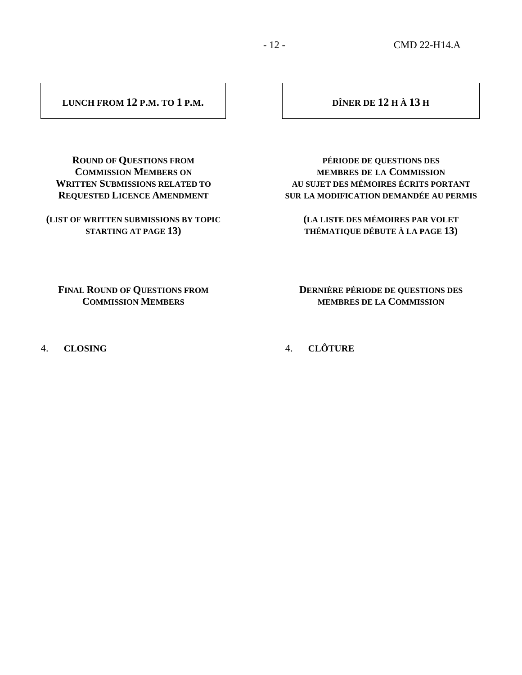# **LUNCH FROM 12 P.M. TO 1 P.M.**  $\qquad$  **D D D***S***<b>NER** DE 12 H À 13 H

**ROUND OF QUESTIONS FROM COMMISSION MEMBERS ON WRITTEN SUBMISSIONS RELATED TO REQUESTED LICENCE AMENDMENT**

**(LIST OF WRITTEN SUBMISSIONS BY TOPIC STARTING AT PAGE 13)**

**PÉRIODE DE QUESTIONS DES MEMBRES DE LA COMMISSION AU SUJET DES MÉMOIRES ÉCRITS PORTANT SUR LA MODIFICATION DEMANDÉE AU PERMIS**

**(LA LISTE DES MÉMOIRES PAR VOLET THÉMATIQUE DÉBUTE À LA PAGE 13)**

**FINAL ROUND OF QUESTIONS FROM COMMISSION MEMBERS**

4. **CLOSING**

**DERNIÈRE PÉRIODE DE QUESTIONS DES MEMBRES DE LA COMMISSION**

4. **CLÔTURE**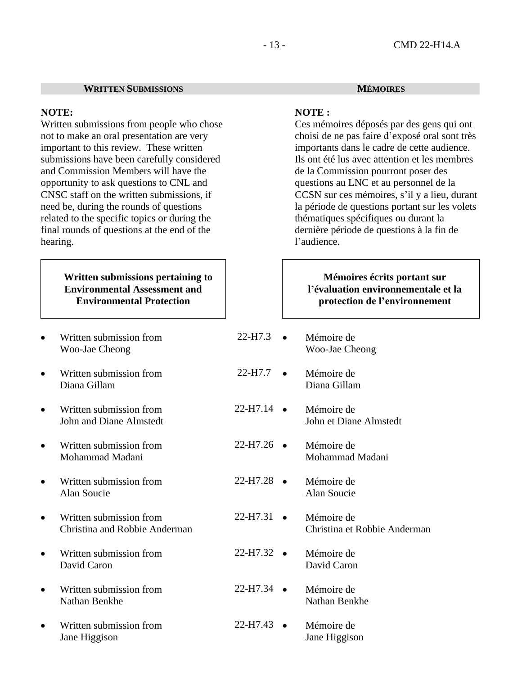#### - 13 - CMD 22-H14.A

#### **WRITTEN SUBMISSIONS**

#### **NOTE:**

Written submissions from people who chose not to make an oral presentation are very important to this review. These written submissions have been carefully considered and Commission Members will have the opportunity to ask questions to CNL and CNSC staff on the written submissions, if need be, during the rounds of questions related to the specific topics or during the final rounds of questions at the end of the hearing.

# **Written submissions pertaining to Environmental Assessment and Environmental Protection**

- Written submission from Woo-Jae Cheong
- Written submission from 22-H7.7 Diana Gillam
- Written submission from 22-H7.14 John and Diane Almstedt
- Written submission from 22-H7.26 Mohammad Madani
- Written submission from 22-H7.28 Alan Soucie
- Written submission from 22-H7.31 Christina and Robbie Anderman
- Written submission from 22-H7.32 David Caron
- Written submission from 22-H7.34 Nathan Benkhe
- Written submission from 22-H7.43 Jane Higgison

#### **MÉMOIRES**

#### **NOTE :**

Ces mémoires déposés par des gens qui ont choisi de ne pas faire d'exposé oral sont très importants dans le cadre de cette audience. Ils ont été lus avec attention et les membres de la Commission pourront poser des questions au LNC et au personnel de la CCSN sur ces mémoires, s'il y a lieu, durant la période de questions portant sur les volets thématiques spécifiques ou durant la dernière période de questions à la fin de l'audience.

### **Mémoires écrits portant sur l'évaluation environnementale et la protection de l'environnement**

22-H7.3 • Mémoire de Woo-Jae Cheong Mémoire de Diana Gillam Mémoire de John et Diane Almstedt Mémoire de Mohammad Madani Mémoire de Alan Soucie Mémoire de Christina et Robbie Anderman Mémoire de David Caron Mémoire de Nathan Benkhe Mémoire de Jane Higgison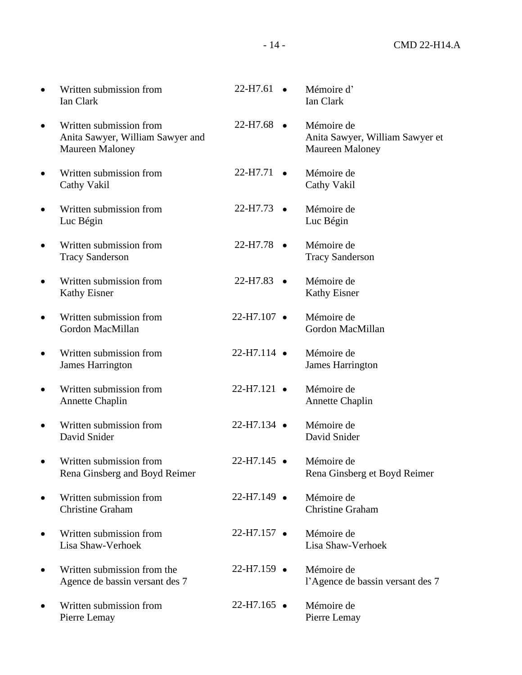|           | Written submission from<br>Ian Clark                                                  | $22-H7.61$ $\bullet$  | Mémoire d'<br>Ian Clark                                                 |
|-----------|---------------------------------------------------------------------------------------|-----------------------|-------------------------------------------------------------------------|
|           | Written submission from<br>Anita Sawyer, William Sawyer and<br><b>Maureen Maloney</b> | $22-H7.68$ •          | Mémoire de<br>Anita Sawyer, William Sawyer et<br><b>Maureen Maloney</b> |
| $\bullet$ | Written submission from<br>Cathy Vakil                                                | $22-H7.71$ $\bullet$  | Mémoire de<br>Cathy Vakil                                               |
| $\bullet$ | Written submission from<br>Luc Bégin                                                  | $22-H7.73$ •          | Mémoire de<br>Luc Bégin                                                 |
| $\bullet$ | Written submission from<br><b>Tracy Sanderson</b>                                     | $22-H7.78$ $\bullet$  | Mémoire de<br><b>Tracy Sanderson</b>                                    |
|           | Written submission from<br><b>Kathy Eisner</b>                                        | $22-H7.83$ •          | Mémoire de<br><b>Kathy Eisner</b>                                       |
| $\bullet$ | Written submission from<br>Gordon MacMillan                                           | $22-H7.107$ $\bullet$ | Mémoire de<br>Gordon MacMillan                                          |
| $\bullet$ | Written submission from<br><b>James Harrington</b>                                    | $22-H7.114$ $\bullet$ | Mémoire de<br><b>James Harrington</b>                                   |
| $\bullet$ | Written submission from<br><b>Annette Chaplin</b>                                     | $22-H7.121$ $\bullet$ | Mémoire de<br><b>Annette Chaplin</b>                                    |
|           | Written submission from<br>David Snider                                               | $22-H7.134$ $\bullet$ | Mémoire de<br>David Snider                                              |
|           | Written submission from<br>Rena Ginsberg and Boyd Reimer                              | $22-H7.145$ $\bullet$ | Mémoire de<br>Rena Ginsberg et Boyd Reimer                              |
|           | Written submission from<br><b>Christine Graham</b>                                    | $22-H7.149$ $\bullet$ | Mémoire de<br><b>Christine Graham</b>                                   |
|           | Written submission from<br>Lisa Shaw-Verhoek                                          | $22-H7.157$ $\bullet$ | Mémoire de<br>Lisa Shaw-Verhoek                                         |
|           | Written submission from the<br>Agence de bassin versant des 7                         | $22-H7.159$ $\bullet$ | Mémoire de<br>l'Agence de bassin versant des 7                          |
|           | Written submission from<br>Pierre Lemay                                               | $22-H7.165$ •         | Mémoire de<br>Pierre Lemay                                              |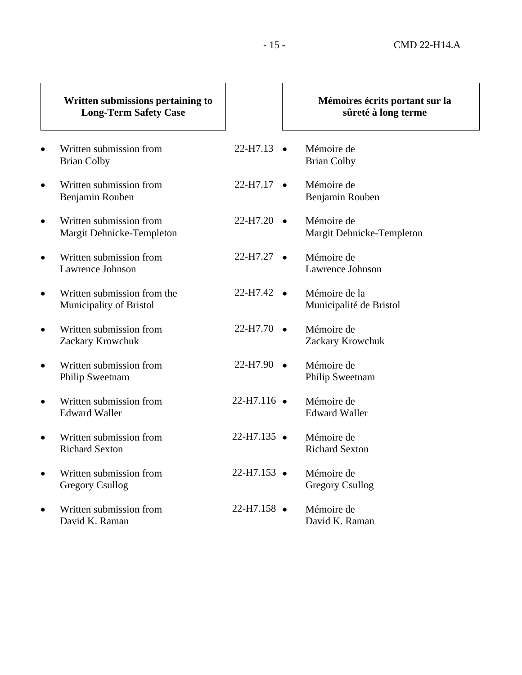# **Written submissions pertaining to Long-Term Safety Case**

- Written submission from Brian Colby
- Written submission from Benjamin Rouben
- Written submission from Margit Dehnicke-Templeton
- Written submission from Lawrence Johnson
- Written submission from the Municipality of Bristol
- Written submission from Zackary Krowchuk
- Written submission from Philip Sweetnam
- Written submission from Edward Waller
- Written submission from Richard Sexton
- Written submission from Gregory Csullog
- Written submission from David K. Raman

#### **Mémoires écrits portant sur la sûreté à long terme**

- 22-H7.13 Mémoire de Brian Colby Mémoire de Benjamin Rouben Mémoire de Margit Dehnicke-Templeton Mémoire de Lawrence Johnson Mémoire de la Municipalité de Bristol Mémoire de Zackary Krowchuk Mémoire de Philip Sweetnam Mémoire de Edward Waller Mémoire de Richard Sexton Mémoire de Gregory Csullog 22-H7.17 • 22-H7.20 • 22-H7.27 • 22-H7.42 • 22-H7.70 • 22-H7.90 • 22-H7.116 •  $22-H7.135$  • 22-H7.153 •
	- Mémoire de David K. Raman 22-H7.158 •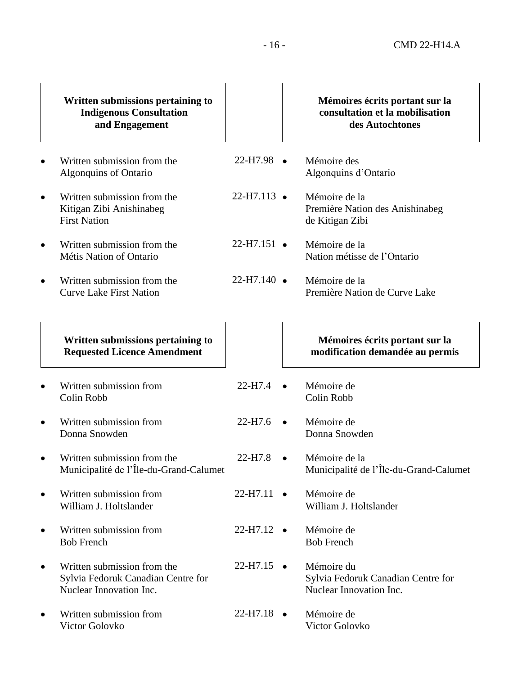- 16 - CMD 22-H14.A

|           | Written submissions pertaining to<br><b>Indigenous Consultation</b><br>and Engagement        |                       |           | Mémoires écrits portant sur la<br>consultation et la mobilisation<br>des Autochtones |
|-----------|----------------------------------------------------------------------------------------------|-----------------------|-----------|--------------------------------------------------------------------------------------|
|           | Written submission from the<br>Algonquins of Ontario                                         | $22-H7.98$ $\bullet$  |           | Mémoire des<br>Algonquins d'Ontario                                                  |
| $\bullet$ | Written submission from the<br>Kitigan Zibi Anishinabeg<br><b>First Nation</b>               | $22-H7.113$ $\bullet$ |           | Mémoire de la<br>Première Nation des Anishinabeg<br>de Kitigan Zibi                  |
| $\bullet$ | Written submission from the<br><b>Métis Nation of Ontario</b>                                | $22-H7.151$ $\bullet$ |           | Mémoire de la<br>Nation métisse de l'Ontario                                         |
|           | Written submission from the<br><b>Curve Lake First Nation</b>                                | $22-H7.140$ $\bullet$ |           | Mémoire de la<br>Première Nation de Curve Lake                                       |
|           | Written submissions pertaining to<br><b>Requested Licence Amendment</b>                      |                       |           | Mémoires écrits portant sur la<br>modification demandée au permis                    |
|           | Written submission from<br>Colin Robb                                                        | 22-H7.4               | $\bullet$ | Mémoire de<br>Colin Robb                                                             |
|           | Written submission from<br>Donna Snowden                                                     | 22-H7.6               | $\bullet$ | Mémoire de<br>Donna Snowden                                                          |
|           | Written submission from the<br>Municipalité de l'Île-du-Grand-Calumet                        | 22-H7.8               | $\bullet$ | Mémoire de la<br>Municipalité de l'Île-du-Grand-Calumet                              |
| ٠         | Written submission from<br>William J. Holtslander                                            | $22-H7.11$ $\bullet$  |           | Mémoire de<br>William J. Holtslander                                                 |
|           | Written submission from<br><b>Bob French</b>                                                 | $22-H7.12$ $\bullet$  |           | Mémoire de<br><b>Bob French</b>                                                      |
| $\bullet$ | Written submission from the<br>Sylvia Fedoruk Canadian Centre for<br>Nuclear Innovation Inc. | 22-H7.15<br>$\bullet$ |           | Mémoire du<br>Sylvia Fedoruk Canadian Centre for<br>Nuclear Innovation Inc.          |
|           | Written submission from<br>Victor Golovko                                                    | $22-H7.18$ $\bullet$  |           | Mémoire de<br>Victor Golovko                                                         |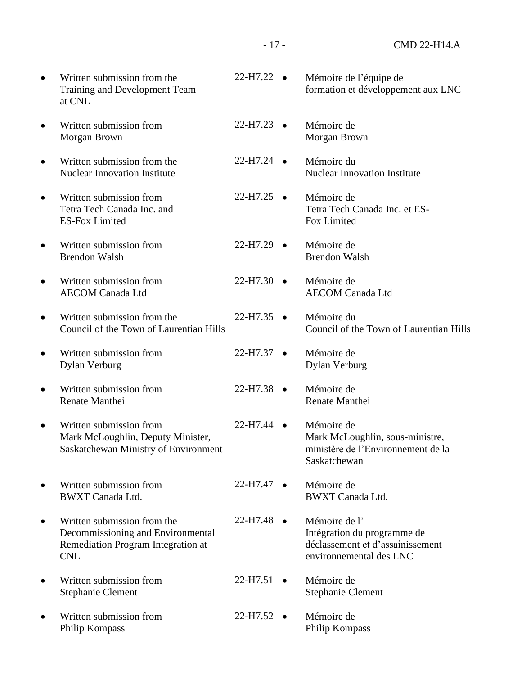- 17 - CMD 22-H14.A

• Written submission from the Training and Development Team at CNL 22-H7.22 • Mémoire de l'équipe de formation et développement aux LNC Mémoire de Morgan Brown Mémoire du Nuclear Innovation Institute Mémoire de Tetra Tech Canada Inc. et ES-Fox Limited Mémoire de Brendon Walsh Mémoire de AECOM Canada Ltd Mémoire du Council of the Town of Laurentian Hills Mémoire de Dylan Verburg Mémoire de Renate Manthei Mémoire de Mark McLoughlin, sous-ministre, ministère de l'Environnement de la Saskatchewan • Written submission from Morgan Brown 22-H7.23 • • Written submission from the Nuclear Innovation Institute 22-H7.24 • • Written submission from Tetra Tech Canada Inc. and ES-Fox Limited 22-H7.25 • • Written submission from Brendon Walsh 22-H7.29 • • Written submission from AECOM Canada Ltd 22-H7.30 • • Written submission from the Council of the Town of Laurentian Hills 22-H7.35 • • Written submission from Dylan Verburg 22-H7.37 • • Written submission from Renate Manthei 22-H7.38 • • Written submission from Mark McLoughlin, Deputy Minister, Saskatchewan Ministry of Environment 22-H7.44 • • Written submission from BWXT Canada Ltd. 22-H7.47 • Mémoire de BWXT Canada Ltd. Mémoire de l' Intégration du programme de déclassement et d'assainissement environnemental des LNC Mémoire de Stephanie Clement Mémoire de Philip Kompass • Written submission from the Decommissioning and Environmental Remediation Program Integration at CNL 22-H7.48 • • Written submission from Stephanie Clement  $22-H7.51$  • • Written submission from Philip Kompass 22-H7.52 •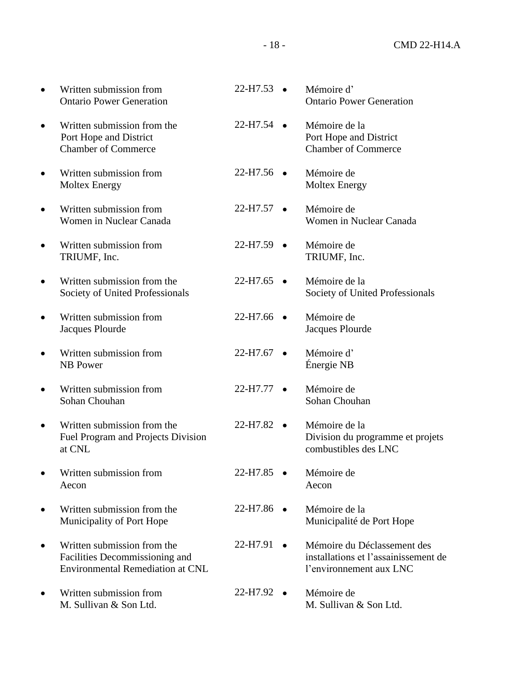|   | Written submission from<br><b>Ontario Power Generation</b>                                               | 22-H7.53             | Mémoire d'<br><b>Ontario Power Generation</b>                                                  |
|---|----------------------------------------------------------------------------------------------------------|----------------------|------------------------------------------------------------------------------------------------|
|   | Written submission from the<br>Port Hope and District<br><b>Chamber of Commerce</b>                      | $22-H7.54$ $\bullet$ | Mémoire de la<br>Port Hope and District<br><b>Chamber of Commerce</b>                          |
|   | Written submission from                                                                                  | 22-H7.56             | Mémoire de                                                                                     |
|   | <b>Moltex Energy</b>                                                                                     | $\bullet$            | <b>Moltex Energy</b>                                                                           |
|   | Written submission from                                                                                  | 22-H7.57             | Mémoire de                                                                                     |
|   | Women in Nuclear Canada                                                                                  | $\bullet$            | Women in Nuclear Canada                                                                        |
|   | Written submission from                                                                                  | 22-H7.59             | Mémoire de                                                                                     |
|   | TRIUMF, Inc.                                                                                             | $\bullet$            | TRIUMF, Inc.                                                                                   |
|   | Written submission from the                                                                              | 22-H7.65             | Mémoire de la                                                                                  |
|   | Society of United Professionals                                                                          | $\bullet$            | Society of United Professionals                                                                |
|   | Written submission from                                                                                  | 22-H7.66             | Mémoire de                                                                                     |
|   | Jacques Plourde                                                                                          | $\bullet$            | Jacques Plourde                                                                                |
|   | Written submission from<br><b>NB</b> Power                                                               | $22-H7.67$ $\bullet$ | Mémoire d'<br>Énergie NB                                                                       |
|   | Written submission from                                                                                  | 22-H7.77             | Mémoire de                                                                                     |
|   | Sohan Chouhan                                                                                            | $\bullet$            | Sohan Chouhan                                                                                  |
| ٠ | Written submission from the<br>Fuel Program and Projects Division<br>at CNL                              | $22-H7.82$ $\bullet$ | Mémoire de la<br>Division du programme et projets<br>combustibles des LNC                      |
|   | Written submission from<br>Aecon                                                                         | 22-H7.85             | Mémoire de<br>Aecon                                                                            |
|   | Written submission from the                                                                              | 22-H7.86             | Mémoire de la                                                                                  |
|   | Municipality of Port Hope                                                                                | $\bullet$            | Municipalité de Port Hope                                                                      |
|   | Written submission from the<br>Facilities Decommissioning and<br><b>Environmental Remediation at CNL</b> | 22-H7.91             | Mémoire du Déclassement des<br>installations et l'assainissement de<br>l'environnement aux LNC |
|   | Written submission from                                                                                  | 22-H7.92             | Mémoire de                                                                                     |
|   | M. Sullivan & Son Ltd.                                                                                   | $\bullet$            | M. Sullivan & Son Ltd.                                                                         |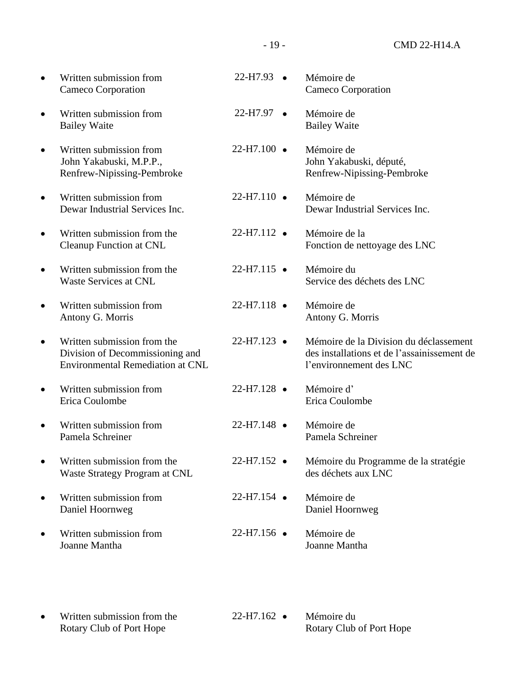|           | Written submission from<br><b>Cameco Corporation</b>                                                      | 22-H7.93              | Mémoire de<br>Cameco Corporation                                                                                 |
|-----------|-----------------------------------------------------------------------------------------------------------|-----------------------|------------------------------------------------------------------------------------------------------------------|
| $\bullet$ | Written submission from<br><b>Bailey Waite</b>                                                            | $22-H7.97$ $\bullet$  | Mémoire de<br><b>Bailey Waite</b>                                                                                |
| $\bullet$ | Written submission from<br>John Yakabuski, M.P.P.,<br>Renfrew-Nipissing-Pembroke                          | $22-H7.100$ $\bullet$ | Mémoire de<br>John Yakabuski, député,<br>Renfrew-Nipissing-Pembroke                                              |
| $\bullet$ | Written submission from<br>Dewar Industrial Services Inc.                                                 | $22-H7.110$ $\bullet$ | Mémoire de<br>Dewar Industrial Services Inc.                                                                     |
| $\bullet$ | Written submission from the<br><b>Cleanup Function at CNL</b>                                             | $22-H7.112$ $\bullet$ | Mémoire de la<br>Fonction de nettoyage des LNC                                                                   |
| $\bullet$ | Written submission from the<br><b>Waste Services at CNL</b>                                               | $22-H7.115$ $\bullet$ | Mémoire du<br>Service des déchets des LNC                                                                        |
| $\bullet$ | Written submission from<br>Antony G. Morris                                                               | $22-H7.118$ $\bullet$ | Mémoire de<br>Antony G. Morris                                                                                   |
| $\bullet$ | Written submission from the<br>Division of Decommissioning and<br><b>Environmental Remediation at CNL</b> | $22-H7.123$ $\bullet$ | Mémoire de la Division du déclassement<br>des installations et de l'assainissement de<br>l'environnement des LNC |
| $\bullet$ | Written submission from<br>Erica Coulombe                                                                 | $22-H7.128$ $\bullet$ | Mémoire d'<br>Erica Coulombe                                                                                     |
| $\bullet$ | Written submission from<br>Pamela Schreiner                                                               | $22-H7.148$ $\bullet$ | Mémoire de<br>Pamela Schreiner                                                                                   |
|           | Written submission from the<br>Waste Strategy Program at CNL                                              | 22-H7.152 ·           | Mémoire du Programme de la stratégie<br>des déchets aux LNC                                                      |
| $\bullet$ | Written submission from<br>Daniel Hoornweg                                                                | $22-H7.154$ $\bullet$ | Mémoire de<br>Daniel Hoornweg                                                                                    |
| $\bullet$ | Written submission from<br>Joanne Mantha                                                                  | $22-H7.156$ $\bullet$ | Mémoire de<br>Joanne Mantha                                                                                      |
|           |                                                                                                           |                       |                                                                                                                  |

• Written submission from the Rotary Club of Port Hope